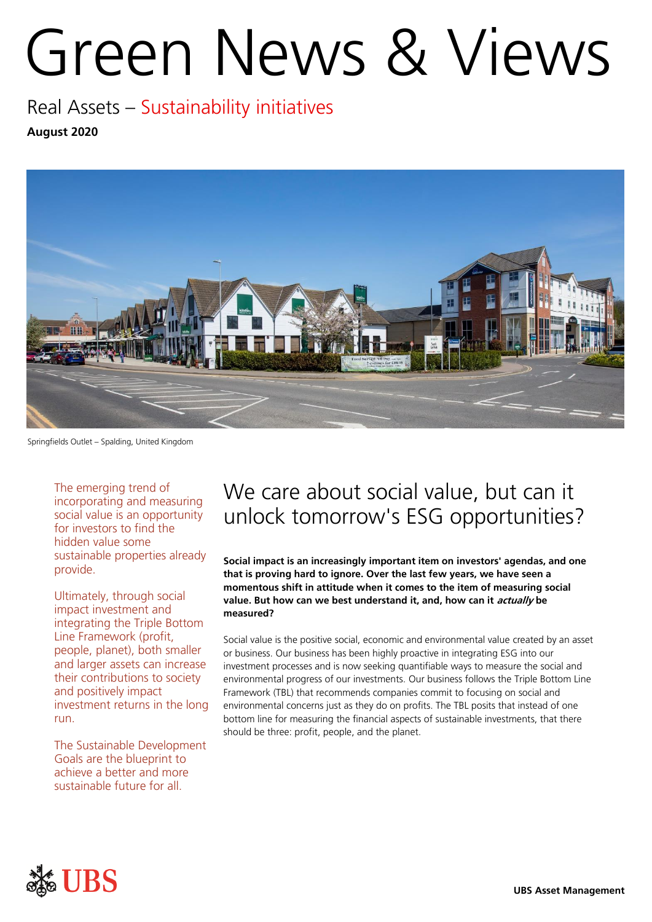# Green News & Views

Real Assets – Sustainability initiatives **August 2020**



Springfields Outlet – Spalding, United Kingdom

The emerging trend of incorporating and measuring social value is an opportunity for investors to find the hidden value some sustainable properties already provide.

Ultimately, through social impact investment and integrating the Triple Bottom Line Framework (profit, people, planet), both smaller and larger assets can increase their contributions to society and positively impact investment returns in the long run.

The Sustainable Development Goals are the blueprint to achieve a better and more sustainable future for all.

## We care about social value, but can it unlock tomorrow's ESG opportunities?

**Social impact is an increasingly important item on investors' agendas, and one that is proving hard to ignore. Over the last few years, we have seen a momentous shift in attitude when it comes to the item of measuring social value. But how can we best understand it, and, how can it actually be measured?**

Social value is the positive social, economic and environmental value created by an asset or business. Our business has been highly proactive in integrating ESG into our investment processes and is now seeking quantifiable ways to measure the social and environmental progress of our investments. Our business follows the Triple Bottom Line Framework (TBL) that recommends companies commit to focusing on social and environmental concerns just as they do on profits. The TBL posits that instead of one bottom line for measuring the financial aspects of sustainable investments, that there should be three: profit, people, and the planet.

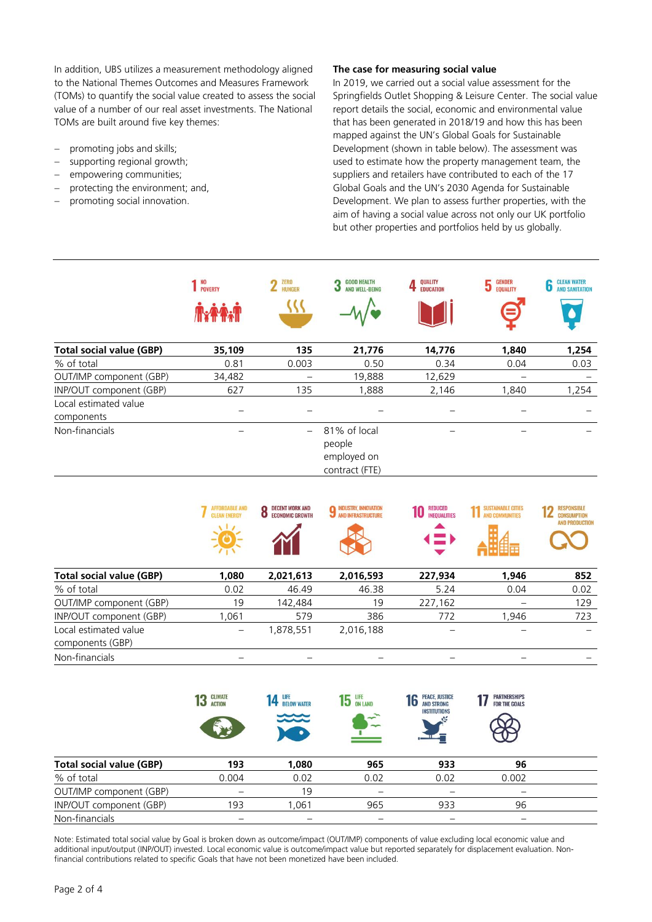In addition, UBS utilizes a measurement methodology aligned to the National Themes Outcomes and Measures Framework (TOMs) to quantify the social value created to assess the social value of a number of our real asset investments. The National TOMs are built around five key themes:

- promoting jobs and skills;
- supporting regional growth;
- empowering communities;
- protecting the environment; and,
- promoting social innovation.

#### **The case for measuring social value**

In 2019, we carried out a social value assessment for the Springfields Outlet Shopping & Leisure Center. The social value report details the social, economic and environmental value that has been generated in 2018/19 and how this has been mapped against the UN's Global Goals for Sustainable Development (shown in table below). The assessment was used to estimate how the property management team, the suppliers and retailers have contributed to each of the 17 Global Goals and the UN's 2030 Agenda for Sustainable Development. We plan to assess further properties, with the aim of having a social value across not only our UK portfolio but other properties and portfolios held by us globally.

|                                     | 1 <sup>NO</sup><br>POVERTY | <b>ZERO</b><br>2 ZERO    | <b>GOOD HEALTH</b><br>J<br>AND WELL-BEING               | QUALITY<br><b>EDUCATION</b> | <b>GENDER</b><br><b>5</b> GENDER | <b>CLEAN WATER</b><br>o<br><b>AND SANITATION</b> |
|-------------------------------------|----------------------------|--------------------------|---------------------------------------------------------|-----------------------------|----------------------------------|--------------------------------------------------|
| <b>Total social value (GBP)</b>     | 35,109                     | 135                      | 21,776                                                  | 14,776                      | 1,840                            | 1,254                                            |
| % of total                          | 0.81                       | 0.003                    | 0.50                                                    | 0.34                        | 0.04                             | 0.03                                             |
| OUT/IMP component (GBP)             | 34,482                     | $\overline{\phantom{0}}$ | 19,888                                                  | 12,629                      | -                                |                                                  |
| INP/OUT component (GBP)             | 627                        | 135                      | 1,888                                                   | 2,146                       | 1,840                            | 1,254                                            |
| Local estimated value<br>components |                            |                          |                                                         |                             |                                  |                                                  |
| Non-financials                      |                            |                          | 81% of local<br>people<br>employed on<br>contract (FTE) |                             |                                  |                                                  |

|                                           | <b>AFFORDABLE AND</b><br><b>CLEAN ENERGY</b> | <b>DECENT WORK AND</b><br><b>ECONOMIC GROWTH</b> | INDUSTRY, INNOVATION<br>AND INFRASTRUCTURE | <b>REDUCED</b><br><b>INEQUALITIES</b><br>( = ) | <b>INABLE CITIES</b> | <b>RESPONSIBLE</b><br><b>CONSUMPTION</b><br><b>AND PRODUCTION</b> |
|-------------------------------------------|----------------------------------------------|--------------------------------------------------|--------------------------------------------|------------------------------------------------|----------------------|-------------------------------------------------------------------|
| <b>Total social value (GBP)</b>           | 1,080                                        | 2,021,613                                        | 2,016,593                                  | 227,934                                        | 1,946                | 852                                                               |
| % of total                                | 0.02                                         | 46.49                                            | 46.38                                      | 5.24                                           | 0.04                 | 0.02                                                              |
| OUT/IMP component (GBP)                   | 19                                           | 142,484                                          | 19                                         | 227,162                                        |                      | 129                                                               |
| INP/OUT component (GBP)                   | 1,061                                        | 579                                              | 386                                        | 772                                            | 1,946                | 723                                                               |
| Local estimated value<br>components (GBP) |                                              | 1,878,551                                        | 2,016,188                                  |                                                |                      |                                                                   |
| Non-financials                            |                                              |                                                  |                                            |                                                |                      |                                                                   |

|                                 | <b>CLIMATE</b><br>13<br><b>ACTION</b> | LIFE<br><b>BELOW WATER</b><br>$\approx$ | $15$ ON LAND<br>$\overline{\phantom{a}}$ | <b>PEACE, JUSTICE</b><br>10<br><b>AND STRONG</b><br><b>INSTITUTIONS</b> | <b><i>PARTNERSHIPS</i></b><br><b>FOR THE GOALS</b> |  |
|---------------------------------|---------------------------------------|-----------------------------------------|------------------------------------------|-------------------------------------------------------------------------|----------------------------------------------------|--|
| <b>Total social value (GBP)</b> | 193                                   | 1,080                                   | 965                                      | 933                                                                     | 96                                                 |  |
| % of total                      | 0.004                                 | 0.02                                    | 0.02                                     | 0.02                                                                    | 0.002                                              |  |
| OUT/IMP component (GBP)         |                                       | 19                                      |                                          |                                                                         |                                                    |  |
| INP/OUT component (GBP)         | 193                                   | .061                                    | 965                                      | 933                                                                     | 96                                                 |  |
| Non-financials                  |                                       |                                         |                                          |                                                                         |                                                    |  |

Note: Estimated total social value by Goal is broken down as outcome/impact (OUT/IMP) components of value excluding local economic value and additional input/output (INP/OUT) invested. Local economic value is outcome/impact value but reported separately for displacement evaluation. Nonfinancial contributions related to specific Goals that have not been monetized have been included.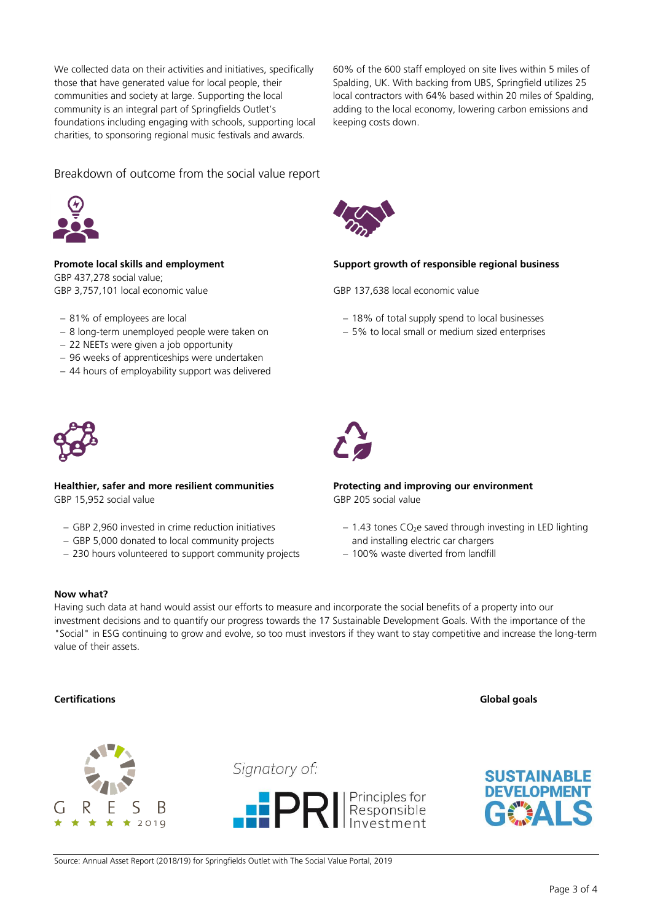We collected data on their activities and initiatives, specifically those that have generated value for local people, their communities and society at large. Supporting the local community is an integral part of Springfields Outlet's foundations including engaging with schools, supporting local charities, to sponsoring regional music festivals and awards.

60% of the 600 staff employed on site lives within 5 miles of Spalding, UK. With backing from UBS, Springfield utilizes 25 local contractors with 64% based within 20 miles of Spalding, adding to the local economy, lowering carbon emissions and keeping costs down.

### Breakdown of outcome from the social value report



GBP 437,278 social value; GBP 3,757,101 local economic value GBP 137,638 local economic value

- 81% of employees are local
- 8 long-term unemployed people were taken on
- 22 NEETs were given a job opportunity
- 96 weeks of apprenticeships were undertaken
- 44 hours of employability support was delivered



**Healthier, safer and more resilient communities** GBP 15,952 social value

- GBP 2,960 invested in crime reduction initiatives
- GBP 5,000 donated to local community projects
- 230 hours volunteered to support community projects



#### **Promote local skills and employment Support growth of responsible regional business**

- 18% of total supply spend to local businesses
- 5% to local small or medium sized enterprises



**Protecting and improving our environment** GBP 205 social value

- $-$  1.43 tones CO<sub>2</sub>e saved through investing in LED lighting and installing electric car chargers
- 100% waste diverted from landfill

#### **Now what?**

Having such data at hand would assist our efforts to measure and incorporate the social benefits of a property into our investment decisions and to quantify our progress towards the 17 Sustainable Development Goals. With the importance of the "Social" in ESG continuing to grow and evolve, so too must investors if they want to stay competitive and increase the long-term value of their assets.

#### **Certifications** Global goals



Signatory of:





Source: Annual Asset Report (2018/19) for Springfields Outlet with The Social Value Portal, 2019